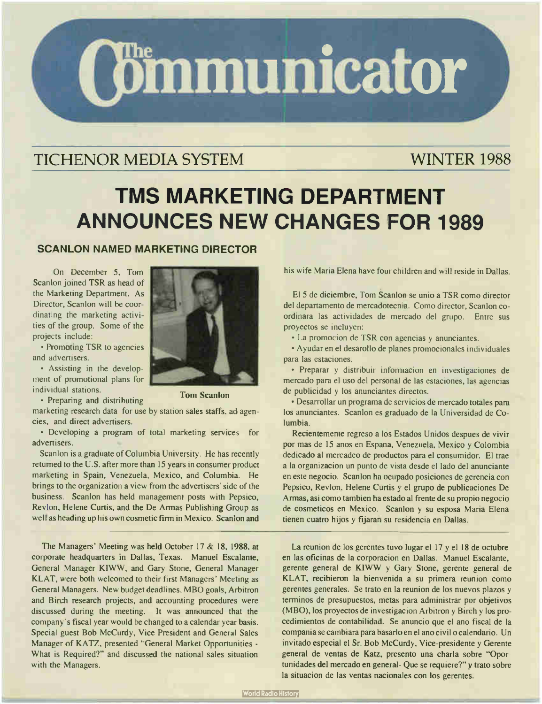

# TICHENOR MEDIA SYSTEM WINTER 1988

# TMS MARKETING DEPARTMENT ANNOUNCES NEW CHANGES FOR 1989

## SCANLON NAMED MARKETING DIRECTOR

On December 5, Tom Scanlon joined TSR as head of the Marketing Department. As Director, Scanlon will be coordinating the marketing activities of the group. Some of the projects include:

• Promoting TSR to agencies and advertisers.

• Assisting in the development of promotional plans for individual stations.

• Preparing and distributing



Tom Scanlon

marketing research data for use by station sales staffs, ad agencies, and direct advertisers.

• Developing a program of total marketing services for advertisers.

Scanlon is a graduate of Columbia University. He has recently returned to the U.S. after more than 15 years in consumer product marketing in Spain, Venezuela, Mexico, and Columbia. He brings to the organization a view from the advertisers' side of the business. Scanlon has held management posts with Pepsico, Revlon, Helene Curtis, and the De Armas Publishing Group as well as heading up his own cosmetic firm in Mexico. Scanlon and

The Managers' Meeting was held October 17 & 18, 1988, at corporate headquarters in Dallas, Texas. Manuel Escalanie, General Manager KIWW, and Gary Stone, General Manager KLAT, were both welcomed to their first Managers' Meeting as General Managers. New budget deadlines, MBO goals, Arbitron and Birch research projects, and accounting procedures were discussed during the meeting. It was announced that the company's fiscal year would be changed to a calendar year basis. Special guest Bob McCurdy, Vice President and General Sales Manager of KATZ, presented "General Market Opportunities - What is Required?" and discussed the national sales situation with the Managers.

his wife Maria Elena have four children and will reside in Dallas.

El 5 de diciembre, Tom Scanlon se unio a TSR como director del departamento de mercadotecnia. Como director, Scanlon coordinara las actividades de mercado del grupo. Entre sus proyectos se incluyen:

• La promocion de TSR con agencias y anunciantes.

• Ayudar en el desarollo de planes promocionales individuales para las estaciones.

• Preparar y distribuir infonnacion en investigaciones de mercado para el uso del personal de las estaciones, las agencias de publicidad y los anunciantes directos.

• Desarrollar un programa de servicios de mercado totales para los anunciantes. Scanlon es graduado de la Universidad de Columbia.

Recientemente regreso a los Estados Unidos despues de vivir por mas de 15 anos en Espana, Venezuela, Mexico y Colombia dedicado al mercadeo de productos para el consumidor. El trae a la organizacion un punto de vista desde el lado del anunciante en este negocio. Scanlon ha ocupado posiciones de gerencia con Pepsico, Revlon, Helene Curtis y el grupo de publicaciones De Armas, asi como tambien ha estado al frente de su propio negocio de cosmeticos en Mexico. Scanlon y su esposa Maria Elena tienen cuatro hijos y fijaran su residencia en Dallas.

La reunion de los gerentes tuvo lugar el 17 y el 18 de octubre en las oficinas de la corporacion en Dallas. Manuel Escalante, gerente general de KIWW y Gary Stone, gerente general de KLAT, recibieron la bienvenida a su primera reunion como gerentes generales. Se trato en la reunion de los nuevos plazos y terminos de presupuestos, metas para administrar por objetivos (MBO), los proyectos de investigacion Arbitron y Birch y los procedimientos de contabilidad. Se anuncio que el ano fiscal de la compania se cambiara para basarlo en el ano civil o calendario. Un invitado especial el Sr. Bob McCurdy, Vice-presidente y Gerente general de yentas de Katz, presento una charla sobre "Oportunidades del mercado en general- Que se requiere?" y trato sobre la situacion de las yentas nacionales con los gerentes.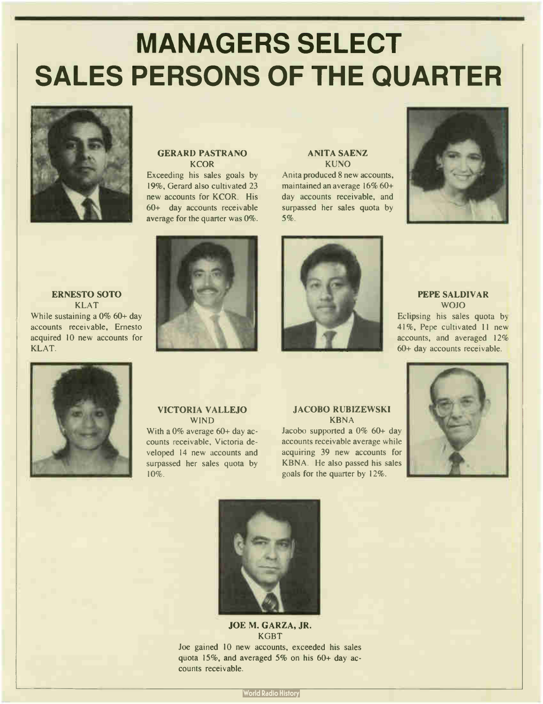# MANAGERS SELECT SALES PERSONS OF THE QUARTER



#### GERARD PASTRANO **KCOR**

Exceeding his sales goals by 19%, Gerard also cultivated 23 new accounts for KCOR. His 60+ day accounts receivable average for the quarter was 0%.

#### ANITA SAENZ **KUNO**

Anita produced 8 new accounts, maintained an average 16% 60+ day accounts receivable, and surpassed her sales quota by 5%.



PEPE SALDIVAR WOJO Eclipsing his sales quota by

accounts receivable, Ernesto acquired 10 new accounts for KLAT.

ERNESTO SOTO KLAT While sustaining a 0% 60+ day



41%, Pepe cultivated 11 new accounts, and averaged 12% 60+ day accounts receivable.



#### VICTORIA VALLEJO WIND

With a 0% average 60+ day accounts receivable, Victoria developed 14 new accounts and surpassed her sales quota by 10%.

#### JACOBO RUBIZEWSKI KBNA

Jacobo supported a  $0\%$  60+ day accounts receivable average while acquiring 39 new accounts for KBNA. He also passed his sales goals for the quarter by 12%.





### JOE M. GARZA, JR. KGBT

Joe gained 10 new accounts, exceeded his sales quota 15%, and averaged 5% on his 60+ day accounts receivable.

**World Radio History**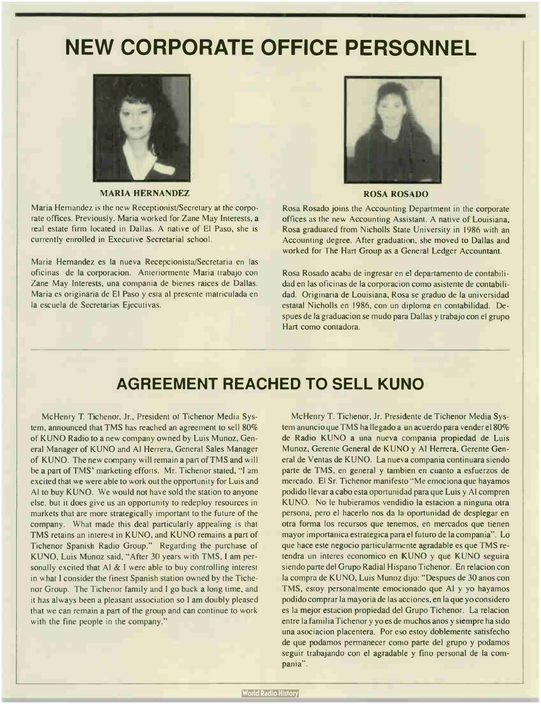# NEW CORPORATE OFFICE PERSONNEL



MARIA HERNANDEZ

Maria Hernandez is the new Receptionist/Secretary at the corporate offices. Previously. Maria worked for Zane May Interests, a real estate firm located in Dallas. A native of El Paso, she is currently enrolled in Executive Secretarial school.

Maria Hernandez es la nueva Recepcionista/Secretaria en las oficinas de la corporacion. Anteriormente Maria trabajo con Zane May Interests, una compania de bienes raices de Dallas. Maria es originaria de El Paso y esta al presente matriculada en la escuela de Secretarias Ejecutivas.



ROSA ROSADO

Rosa Rosado joins the Accounting Department in the corporate offices as the new Accounting Assistant. A native of Louisiana, Rosa graduated from Nicholls State University in 1986 with an Accounting degree. After graduation, she moved to Dallas and worked for The Hart Group as a General Ledger Accountant.

Rosa Rosado acaba de ingresar en el departamento de contabilidad en las oficinas de la corporacion como asistente de contabilidad. Originaria de Louisiana, Rosa se graduo de la universidad estatal Nicholls en 1986, con un diploma en contabilidad. Despues de la graduacion se mudo para Dallas y trabajo con el grupo Hart como contadora.

## AGREEMENT REACHED TO SELL KUNO

McHenry T. Tichenor, Jr., President of Tichenor Media System, announced that TMS has reached an agreement to sell 80% of KUNO Radio to a new company owned by Luis Munoz, General Manager of KUNO and Al Herrera, General Sales Manager of KUNO. The new company will remain a part of TMS and will be a part of TMS' marketing efforts. Mr. Tichenor stated, "I am excited that we were able to work out the opportunity for Luis and Al to buy KUNO. We would not have sold the station to anyone else, but it does give us an opportunity to redeploy resources in markets that are more strategically important to the future of the company. What made this deal particularly appealing is that TMS retains an interest in KUNO, and KUNO remains a part of Tichenor Spanish Radio Group." Regarding the purchase of KUNO, Luis Munoz said, " After 30 years with TMS, I am personally excited that Al & I were able to buy controlling interest in what I consider the finest Spanish station owned by the Tichenor Group. The Tichenor family and I go back a long time, and it has always been a pleasant association so I am doubly pleased that we can remain a part of the group and can continue to work with the fine people in the company."

McHenry T. Tichenor, Jr. Presidente de Tichenor Media System anuncio que TMS ha llegado a un acuerdo para vender el 80% de Radio KUNO a una nueva compania propiedad de Luis Munoz, Gerente General de KUNO y Al Herrera, Gerente General de Ventas de KUNO. La nueva compania continuara siendo parte de TMS, en general y tambien en cuanto a esfuerzos de mercado. El Sr. Tichenor manifesto " Me emociona que hayamos podido llevar a cabo esta oportunidad para que Luis y Al compren KUNO. No le hubieramos vendidio la estacion a ninguna otra persona, pero el hacerlo nos da la oportunidad de desplegar en otra forma los recursos que tenemos, en mercados que tienen mayor importanica estrategica para el futuro de la compania". Lo que hace este negocio particularmente agradable es que TMS retendra un interes economico en KUNO y que KUNO seguira siendo parte del Grupo Radial Hispano Tichenor. En relacion con la compra de KUNO, Luis Munoz dijo: " Despues de 30 anos con TMS, estoy personalmente emocionado que Al y yo hayamos podido comprar la mayoria de las acciones, en la que yo considero es la mejor estacion propiedad del Grupo Tichenor. La relacion entre la familia Tichenor y yo es de muchos anos y siempre ha sido una asociacion placentera. Por eso estoy doblemente satisfecho de que podamos permanecer como parte del grupo y podamos seguir trabajando con el agradable y fino personal de la compania".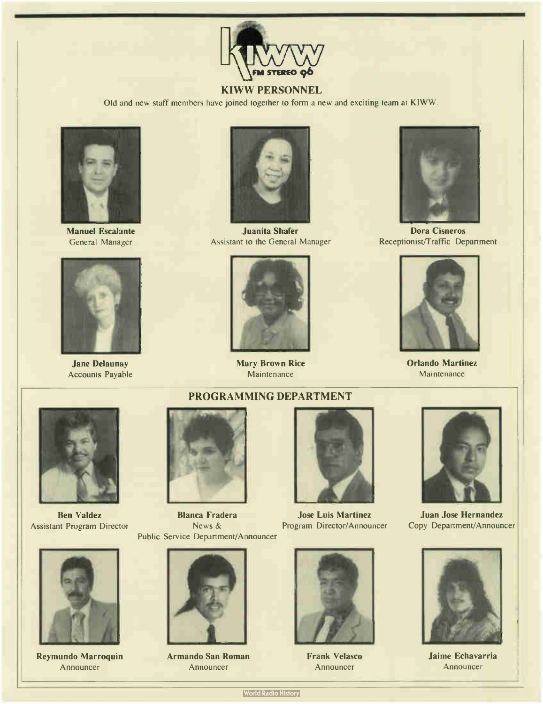

## KIWW PERSONNEL

Old and new staff members have joined together to form a new and exciting team at KIWW.



Manuel Escalante General Manager



Jane Delaunay Accounts Payable



Juanita Shafer Assistant to the General Manager



Mary Brown Rice Maintenance



Dora Cisneros Receptionist/Traffic Department



Orlando Martinez Maintenance





Reymundo Marroquin Announcer



Ben Valdez Blanca Fradera Jose Luis Martinez Assistant Program Director News & Program Director/Announcer Public Service Department/Announcer



Armando San Roman Announcer





Frank Velasco Announcer



Juan Jose Hernandez Copy Department/Announcer



Jaime Echavarria Announcer

**World Radio History**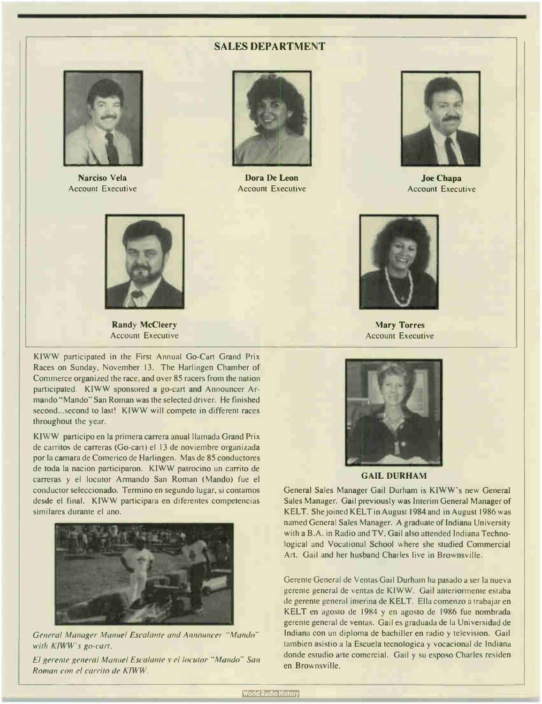#### SALES DEPARTMENT



Narciso Vela Account Executive



Dora De Leon Account Executive



Joe Chapa Account Executive



Randy MeCleery Account Executive

KIWW participated in the First Annual Go-Cart Grand Prix Races on Sunday, November 13. The Harlingen Chamber of Commerce organized the race, and over 85 racers from the nation participated. KIWW sponsored a go-cart and Announcer Armando " Mando" San Roman was the selected driver. He finished second...second to last! KIWW will compete in different races throughout the year.

KIWW participo en la primera carrera anual llamada Grand Prix de carritos de carreras (Go-cart) el 13 de noviembre organizada por la camara de Comerico de Harlingen. Mas de 85 conductores de toda la nacion participaron. KIWW patrocino un carrito de carreras y el locutor Armando San Roman (Mando) fue el conductor seleccionado. Termino en segundo lugar, si contamos desde el final. KIWW participara en diferentes competencias similares durante el ano.



General Manager Manuel Escalante and Announcer " Mando" with KIWW's go-cart.

El gerente general Manuel Escalante y el locutor " Mando" San Roman con el carrito de KIWW.



Mary Torres Account Executive



GAIL DURHAM

General Sales Manager Gail Durham is KIWW's new General Sales Manager. Gail previously was Interim General Manager of KELT. She joined KELT in August 1984 and in August 1986 was named General Sales Manager. A graduate of Indiana University with a B.A. in Radio and TV, Gail also attended Indiana Technological and Vocational School where she studied Commercial Art. Gail and her husband Charles live in Brownsville.

Gerente General de Ventas Gail Durham ha pasado a ser la nueva gerente general de yentas de KIWW. Gail anteriormente estaba de gerente general interina de KELT. Ella comenzo a trabajar en KELT en agosto de 1984 y en agosto de 1986 fue nombrada gerente general de yentas. Gail es graduada de la Universidad de Indiana con un diploma de bachiller en radio y television. Gail tambien asistio a la Escuela tecnologica y vocacional de Indiana donde estudio arte comercial. Gail y su esposo Charles residen en Brownsville.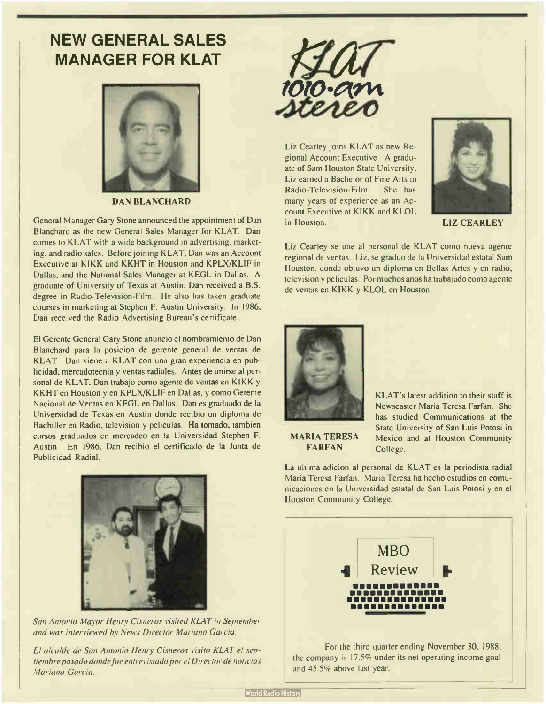# NEW GENERAL SALES MANAGER FOR KLAT



DAN BLANCHARD

General Manager Gary Stone announced the appointment of Dan Blanchard as the new General Sales Manager for KLAT. Dan comes to KLAT with a wide background in advertising, marketing, and radio sales. Before joining KLAT, Dan was an Account Executive at KIKK and KKHT in Houston and KPLX/KLIF in Dallas, and the National Sales Manager at KEGL in Dallas. A graduate of University of Texas at Austin, Dan received a B.S. degree in Radio-Television-Film. He also has taken graduate courses in marketing at Stephen F. Austin University. In 1986, Dan received the Radio Advertising Bureau's certificate.

El Gerente General Gary Stone anuncio el nombramiento de Dan Blanchard para la posicion de gerente general de yentas de KLAT. Dan viene a KLAT con una gran experiencia en publicidad, mercadotecnia y yentas radiales. Antes de unirse al personal de KLAT, Dan trabajo como agente de yentas en KIKK y KKHT en Houston y en KPLX/KLIF en Dallas, y como Gerente Nacional de Ventas en KEGL en Dallas. Dan es graduado de la Universidad de Texas en Austin donde recibio un diploma de Bachiller en Radio, television y peliculas. Ha tomado, tambien cursos graduados en mercadeo en la Universidad Stephen F. Austin. En 1986, Dan recibio el certificado de la Junta de Publicidad Radial.



San Antonio Mayor Henry Cisneros visited KLAT in September and was interviewed by News Director Mariano Garcia.

El alcalde de San Antonio Henry Cisneros visito KLAT el septiembre pasado donde fue entrevistado por el Director de noticias Mariano Garcia.



Liz Cearley joins KLAT as new Regional Account Executive. A graduate of Sam Houston State University, Liz earned a Bachelor of Fine Arts in Radio-Television-Film. She has many years of experience as an Account Executive at KIKK and KLOL in Houston. **LIZ CEARLEY** 



Liz Cearley se une al personal de KLAT como nueva agente regional de yentas. Liz, se graduo de la Universidad estatal Sam Houston, donde obtuvo un diploma en Bellas Artes y en radio, television y peliculas. Por muchos anos ha trabajado como agente de yentas en KIKK y KLOL en Houston.



KLAT's latest addition to their staff is Newscaster Maria Teresa Farfan. She has studied Communications at the State University of San Luis Potosi in Mexico and at Houston Community College.

MARIA TERESA **FARFAN** 

La ultima adicion al personal de KLAT es la periodista radial Maria Teresa Farfan. Maria Teresa ha hecho estudios en comunicaciones en la Universidad estatal de San Luis Potosi y en el Houston Community College.



the company is 17.5% under its net operating income goal and 45.5% above last year.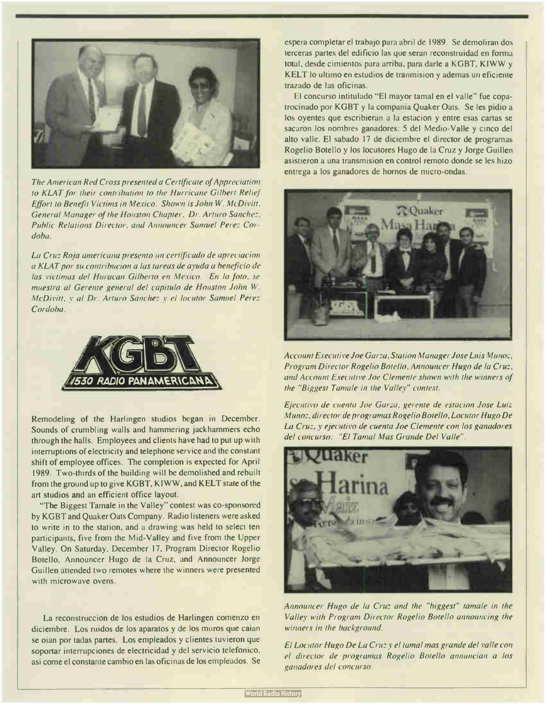

The American Red Cross presented a Certificate of Appreciation to KLAT for their contribution to the Hurricane Gilbert Relief Effort to Benefit Victims in Mexico. Shown is John W. McDivitt, General Manager of the Houston Chapter, Dr. Arturo Sanchez, Public Relations Director, and Announcer Samuel Perez Cordoba.

La Cruz Roja americana presento un certificado de apreciacion a KLAT por su contribucion a las tareas de ayuda a beneficio de las victimas del Huracan Gilberto en Mexico. En la foto, se muestra al Gerente general del capitulo de Houston John W. McDivitt, y al Dr. Arturo Sanchez y el locutor Samuel Perez Cordoba.



Remodeling of the Harlingen studios began in December. Sounds of crumbling walls and hammering jackhammers echo through the halls. Employees and clients have had to put up with interruptions of electricity and telephone service and the constant shift of employee offices. The completion is expected for April 1989. Two-thirds of the building will be demolished and rebuilt from the ground up to give KGBT, KIWW, and KELT state of the art studios and an efficient office layout.

"The Biggest Tamale in the Valley" contest was co-sponsored by KGBT and Quaker Oats Company. Radio listeners were asked to write in to the station, and a drawing was held to select ten participants, five from the Mid-Valley and five from the Upper Valley. On Saturday, December 17, Program Director Rogelio Botello, Announcer Hugo de la Cruz, and Announcer Jorge Guillen attended two remotes where the winners were presented with microwave ovens.

La reconstruccion de los estudios de Harlingen comenzo en diciembre. Los ruidos de los aparatos y de los muros que caian se oian por tadas partes. Los empleados y clientes tuvieron que soportar interrupciones de electricidad y del servicio telefonico, asi come el constante cambio en las oficinas de los empleados. Se espera completar el trabajo para abril de 1989. Se demoliran dos terceras partes del edificio las que seran reconstruidad en forma total, desde cimientos para arriba, para darle a KGBT, KIWW y KELT lo ultimo en estudios de tranmision y ademas un eficiente trazado de las oficinas.

El concurso intitulado "El mayor tamal en el valle" fue copatrocinado por KGBT y la compania Quaker Oats. Se les pidio a los oyentes que escribieran a la estacion y entre esas cartas se sacaron los nombres ganadores: 5 del Medio-Valle y cinco del alto valle. El sabado 17 de diciembre el director de programas Rogelio Botello y los locutores Hugo de la Cruz y Jorge Guillen asistieron a una transmision en control remoto donde se les hizo entrega a los ganadores de hornos de micro-ondas.



Account Executive Joe Garza, Station Manager Jose Luis Munoz, Program Director Rogelio Botello, Announcer Hugo de la Cruz, and Account Executive Joe Clemente shown with the winners of the "Biggest Tamale in the Valley" contest.

Ejecutivo de cuenta Joe Garza, gerente de estacion Jose Luiz Munoz, director de programas Rogelio Botello, Locutor Hugo De La Cruz, y ejecutivo de cuenta Joe Clemente con los ganadores del concurso: "El Tamal Mas Grande Del Valle".



Announcer Hugo de la Cruz and the "biggest" tamale in the Valley with Program Director Rogelio Botello announcing the winners in the background.

El Locutor Hugo De La Cruz y el tamal mas grande del valle con el director de programas Rogelio Botello annuncian a los ganadores del concurso.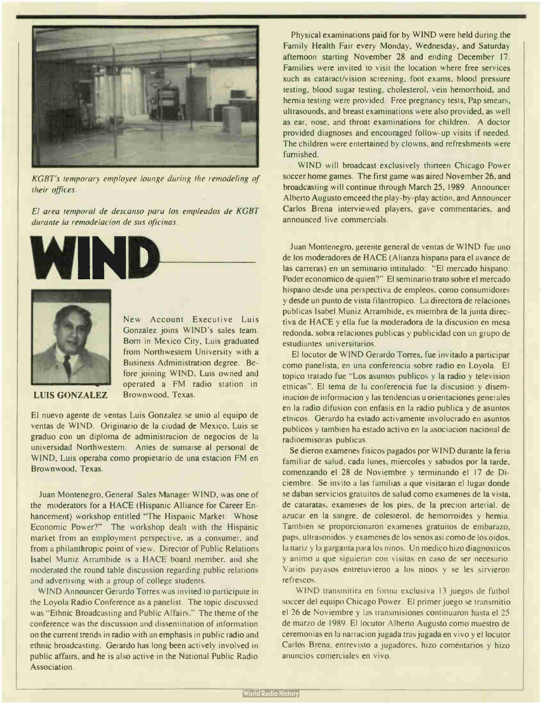

KGBT's temporary employee lounge during the remodeling of their offices.

El area temporal de descanso para los empleados de KGBT durante la remodelacion de sus oficinas.





New Account Executive Luis Gonzalez joins WIND's sales team. Born in Mexico City, Luis graduated from Northwestern University with a Business Administration degree. Before joining WIND, Luis owned and operated a FM radio station in Brownwood. Texas.

#### LUIS GONZALEZ

El nuevo agente de yentas Luis Gonzalez se unio al equipo de yentas de WIND. Originario de la ciudad de Mexico, Luis se graduo con un diploma de administracion de negocios de la universidad Northwestern. Antes de sumarse al personal de WIND, Luis operaba como propietario de una estacion FM en Brownwood, Texas.

Juan Montenegro, General Sales Manager WIND, was one of the moderators for a HACE (Hispanic Alliance for Career Enhancement) workshop entitled "The Hispanic Market: Whose Economic Power?" The workshop dealt with the Hispanic market from an employment perspective, as a consumer, and from a philanthropic point of view. Director of Public Relations Isabel Muniz Arrambide is a HACE board member, and she moderated the round table discussion regarding public relations and advertising with a group of college students.

WIND Announcer Gerardo Torres was invited to participate in the Loyola Radio Conference as a panelist. The topic discussed was "Ethnic Broadcasting and Public Affairs." The theme of the conference was the discussion and dissemination of information on the current trends in radio with an emphasis in public radio and ethnic broadcasting. Gerardo has long been actively involved in public affairs, and he is also active in the National Public Radio Association.

Physical examinations paid for by WIND were held during the Family Health Fair every Monday, Wednesday, and Saturday afternoon starting November 28 and ending December 17. Families were invited to visit the location where free services such as cataract/vision screening, foot exams, blood pressure testing, blood sugar testing, cholesterol, vein hemorrhoid, and hernia testing were provided. Free pregnancy tests, Pap smears, ultrasounds, and breast examinations were also provided, as well as ear, nose, and throat examinations for children. A doctor provided diagnoses and encouraged follow-up visits if needed. The children were entertained by clowns, and refreshments were furnished.

WIND will broadcast exclusively thirteen Chicago Power soccer home games. The first game was aired November 26, and broadcasting will continue through March 25, 1989. Announcer Alberto Augusto emceed the play-by-play action, and Announcer Carlos Brena interviewed players, gave commentaries, and announced live commercials.

Juan Montenegro, gerente general de yentas de WIND fue uno de los moderadores de HACE ( Alianza hispana para el avance de las carreras) en un seminario intitulado: "El mercado hispano: Poder economico de quien?" El seminario trato sobre el mercado hispano desde una perspectiva de empleos, como consumidores y desde un punto de vista filantropico. La directora de relaciones publicas Isabel Muniz Arrambide, es miembra de la junta directiva de HACE y ella fue la moderadora de la discusion en mesa redonda, sobra relaciones publicas y publicidad con un grupo de estudiantes universitarios.

El locutor de WIND Gerardo Torres, fue invitado a participar como panelista, en una conferencia sobre radio en Loyola. El topico tratado fue " Los asuntos publicos y la radio y television etnicas". El tema de la conferencia fue la discusion y diseminacion de inforrnacion y las tendencias u orientaciones generales en la radio difusion con enfasis en la radio publica y de asuntos etnicos. Gerardo ha estado activamente involucrado en asuntos publicos y tambien ha estado activo en la asociacion nacional de radioemisoras publicas.

Se dieron examenes fisicos pagados por WIND durante la feria familiar de salud, cada lunes, miercoles y sabados por la tarde, comenzando el 28 de Noviembre y terminando el 17 de Diciembre. Se invito a las familias a que visitaran el lugar donde se daban servicios gratuitos de salud como examenes de la vista, de cataratas, examenes de los pies, de la precion arterial, de azucar en la sangre, de colesterol, de hemorroides y hernia. Tambien se proporcionaron examenes gratuitos de embarazo, paps, ultrasonidos, y examenes de los senos asi como de los oidos, la nariz y la garganta para los ninos. Un medico hizo diagnosticos y animo a que siguieran con visitas en caso de ser necesario. Varios payasos entretuvieron a los ninos y se les sirvieron refrescos.

WIND transmitira en forma exclusiva <sup>13</sup> juegos de futbol soccer del equipo Chicago Power. El primer juego se transmitio el 26 de Noviembre y las transmisiones continuaron hasta el 25 de marzo de 1989. El locutor Alberto Augusto como maestro de ceremonias en la narracion jugada tras jugada en vivo y el locutor Carlos Brena, entrevisto a jugadores, hizo comentarios y hizo anuncios comerciales en vivo.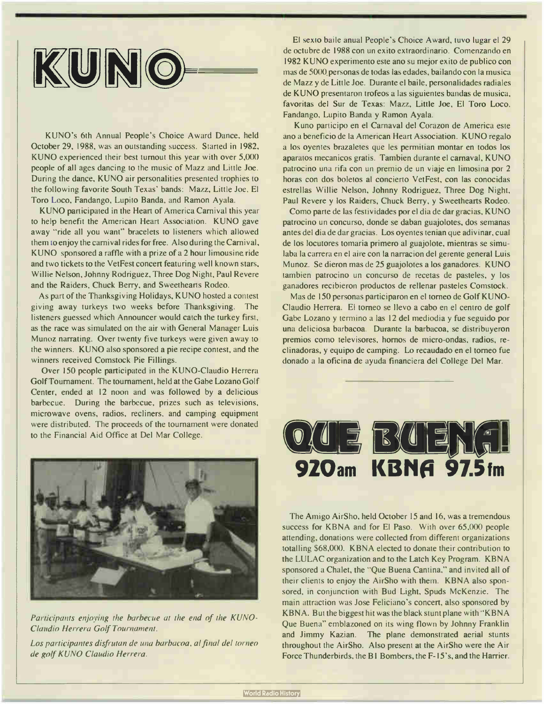

KUNO's 6th Annual People's Choice Award Dance, held October 29, 1988, was an outstanding success. Started in 1982, KUNO experienced their best turnout this year with over 5,000 people of all ages dancing to the music of Mazz and Little Joe. During the dance, KUNO air personalities presented trophies to the following favorite South Texas' bands: Mazz, Little Joe, El Toro Loco, Fandango, Lupito Banda, and Ramon Ayala.

KUNO participated in the Heart of America Carnival this year to help benefit the American Heart Association. KUNO gave away "ride all you want" bracelets to listeners which allowed them to enjoy the carnival rides for free. Also during the Carnival, KUNO sponsored a raffle with a prize of a 2 hour limousine ride and two tickets to the VetFest concert featuring well known stars, Willie Nelson, Johnny Rodriguez, Three Dog Night, Paul Revere and the Raiders, Chuck Berry, and Sweethearts Rodeo.

As part of the Thanksgiving Holidays, KUNO hosted a contest giving away turkeys two weeks before Thanksgiving. The listeners guessed which Announcer would catch the turkey first, as the race was simulated on the air with General Manager Luis Munoz narrating. Over twenty five turkeys were given away to the winners. KUNO also sponsored a pie recipe contest, and the winners received Comstock Pie Fillings.

Over 150 people participated in the KUNO-Claudio Herrera Golf Tournament. The tournament, held at the Gabe Lozano Golf Center, ended at 12 noon and was followed by a delicious barbecue. During the barbecue, prizes such as televisions, microwave ovens, radios, recliners, and camping equipment were distributed. The proceeds of the tournament were donated to the Financial Aid Office at Del Mar College.



Participants enjoying the barbecue at the end of the KUNO-Claudio Herrera Golf Tournament.

Los participantes disfrutan de una barbacoa, al final del torneo de golf KUNO Claudio Herrera.

El sexto baile anual People's Choice Award, tuvo lugar el 29 de octubre de 1988 con un exito extraordinario. Comenzando en <sup>1982</sup> KUNO experimento este ano su mejor exito de publico con mas de 5000. personas de todas las edades, bailando con la musica de Mazz y de Little Joe. Durante el baile, personalidades radiales de KUNO presentaron trofeos a las siguientes bandas de musica, favoritas del Sur de Texas: Mazz, Little Joe, El Toro Loco, Fandango, Lupito Banda y Ramon Ayala.

Kuno participo en el Carnaval del Corazon de America este ano a beneficio de la American Heart Association. KUNO regalo a los oyentes brazaletes que les permitian montar en todos los aparatos mecanicos gratis. Tambien durante el carnaval, KUNO patrocino una rifa con un premio de un viaje en limosina por 2 horas con dos boletos al concierto VetFest, con las conocidas estrellas Willie Nelson, Johnny Rodriguez, Three Dog Night, Paul Revere y los Raiders, Chuck Berry, y Sweethearts Rodeo.

Como parte de las festividades por el dia de dar gracias, KUNO patrocino un concurso, donde se daban guajolotes, dos semanas antes del dia de dar gracias. Los oyentes tenian que adivinar, cual de los locutores tomaria primero al guajolote, mientras se simulaba la carrera en el aire con la narracion del gerente general Luis Munoz. Se dieron mas de 25 guajolotes a los ganadores. KUNO tambien patrocino un concurso de recetas de pasteles, y los ganadores recibieron productos de rellenar pasteles Comstock.

Mas de 150 personas participaron en el torneo de Golf KUNO-Claudio Herrera. El torneo se llevo a cabo en el centro de golf Gabe Lozano y termino a las 12 del mediodia y fue seguido por una deliciosa barbacoa. Durante la barbacoa, se distribuyeron premios como televisores, hornos de micro-ondas, radios, reclinadoras, y equipo de camping. Lo recaudado en el torneo fue donado a la oficina de ayuda financiera del College Del Mar.



The Amigo AirSho, held October 15 and 16, was a tremendous success for KBNA and for El Paso. With over 65,000 people attending, donations were collected from different organizations totalling \$68,000. KBNA elected to donate their contribution to the LULAC organization and to the Latch Key Program. KBNA sponsored a Chalet, the "Que Buena Cantina," and invited all of their clients to enjoy the AirSho with them. KBNA also sponsored, in conjunction with Bud Light, Spuds McKenzie. The main attraction was Jose Feliciano's concert, also sponsored by KBNA. But the biggest hit was the black stunt plane with " KBNA Que Buena" emblazoned on its wing flown by Johnny Franklin and Jimmy Kazian. The plane demonstrated aerial stunts throughout the AirSho. Also present at the AirSho were the Air Force Thunderbirds, the B1 Bombers, the F- 15's, and the Harrier.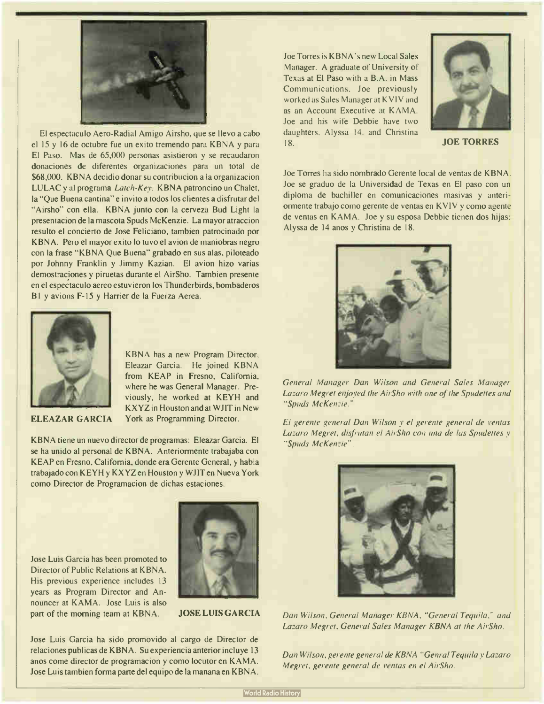

El espectaculo Aero-Radial Amigo Airsho, que se llevo a cabo el 15 y 16 de octubre fue un exito tremendo para KBNA y para El Paso. Mas de 65,000 personas asistieron y se recaudaron donaciones de diferentes organizaciones para un total de \$68,000. KBNA decidio donar su contribucion a la organizacion LULAC y al programa Latch-Key. KBNA patroncino un Chalet, la "Que Buena cantina" e invito a todos los clientes a disfrutar del "Airsho" con ella. KBNA junto con la cerveza Bud Light la presentacion de la mascota Spuds McKenzie. La mayor atraccion resulto el concierto de Jose Feliciano, tambien patrocinado por KBNA. Pero el mayor exito lo tuvo el avion de maniobras negro con la frase " KBNA Que Buena" grabado en sus alas, piloteado por Johnny Franklin y Jimmy Kazian. El avion hizo varias demostraciones y piruetas durante el AirSho. Tambien presente en el espeetaculo aereo estuvieron los Thunderbirds, bombaderos B1 y avions F-15 y Harrier de la Fuerza Aerea.



KBNA has a new Program Director, Eleazar Garcia. He joined KBNA from KEAP in Fresno, California, where he was General Manager. Previously, he worked at KEYH and KXYZ in Houston and at WJIT in New York as Programming Director.

#### ELEAZAR GARCIA

KBNA tiene un nuevo director de programas: Eleazar Garcia. El se ha unido al personal de KBNA. Anteriormente trabajaba con KEAP en Fresno, California, donde era Gerente General, y habia trabajado con KEYH y KXYZ en Houston y WJIT en Nueva York como Director de Programacion de dichas estaciones.

Jose Luis Garcia has been promoted to Director of Public Relations at KBNA His previous experience includes 13 years as Program Director and Announcer at KAMA. Jose Luis is also part of the morning team at KBNA. JOSE LUIS GARCIA



Jose Luis Garcia ha sido promovido al cargo de Director de relaciones publicas de KBNA. Su experiencia anterior incluye <sup>13</sup> anos come director de programacion y como locutor en KAMA. Jose Luis tambien forma parte del equipo de la manana en KBNA.

Joe Torres is KBNA's new Local Sales Manager. A graduate of University of Texas at El Paso with a B.A. in Mass Communications, Joe previously worked as Sales Manager at KVIV and as an Account Executive at KAMA. Joe and his wife Debbie have two daughters, Alyssa 14, and Christina 18. **JOE TORRES** 



Joe Torres ha sido nombrado Gerente local de yentas de KBNA. Joe se graduo de la Universidad de Texas en El paso con un diploma de bachiller en comunicaciones masivas y anteriormente trabajo como gerente de yentas en KVIV y como agente de yentas en KAMA. Joe y su esposa Debbie tienen dos hijas: Alyssa de 14 anos y Christina de 18.



General Manager Dan Wilson and General Sales Manager Lazaro Megret enjoyed the AirSho with one of the Spudettes and "Spuds McKenzie."

El gerente general Dan Wilson y el gerente general de yentas Lazaro Megret, disfrutan el AirSho con una de las Spudettes y "Spuds McKenzie".



Dan Wilson, General Manager KBNA, "General Tequila," and Lazaro Megret, General Sales Manager KBNA at the AirSho.

Dan Wilson, gerente general de KBNA "Cenral Tequila y Lazaro Megret, gerente general de yentas en el AirSho.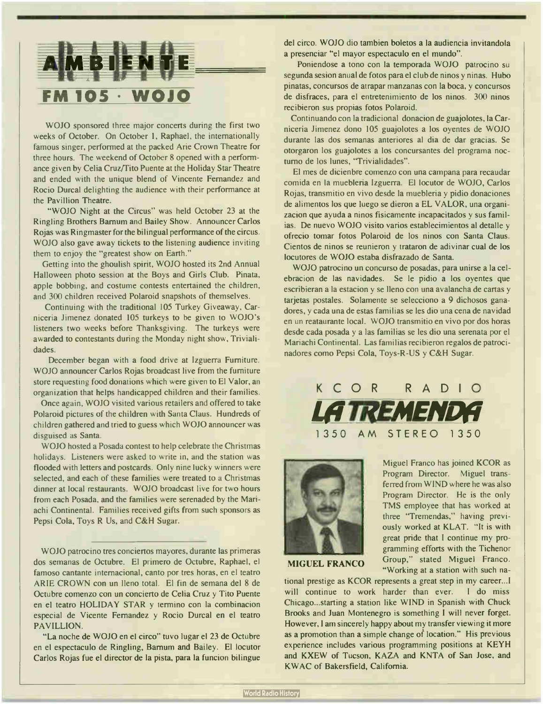

WOJO sponsored three major concerts during the first two weeks of October. On October 1, Raphael, the internationally famous singer, performed at the packed Arie Crown Theatre for three hours. The weekend of October 8 opened with a performance given by Celia Cruz/Tito Puente at the Holiday Star Theatre and ended with the unique blend of Vincente Fernandez and Rocio Durcal delighting the audience with their performance at the Pavillion Theatre.

"WOJO Night at the Circus" was held October 23 at the Ringling Brothers Barnum and Bailey Show. Announcer Carlos Rojas was Ringmaster for the bilingual performance of the circus. WOJO also gave away tickets to the listening audience inviting them to enjoy the "greatest show on Earth."

Getting into the ghoulish spirit, WOJO hosted its 2nd Annual Halloween photo session at the Boys and Girls Club. Pinata, apple bobbing, and costume contests entertained the children, and 300 children received Polaroid snapshots of themselves.

Continuing with the traditional 105 Turkey Giveaway, Carniceria Jimenez donated 105 turkeys to be given to WOJO's listeners two weeks before Thanksgiving. The turkeys were awarded to contestants during the Monday night show, Trivialidades.

December began with a food drive at lzguerra Furniture. WOJO announcer Carlos Rojas broadcast live from the furniture store requesting food donations which were given to El Valor, an organization that helps handicapped children and their families.

Once again, WOJO visited various retailers and offered to take Polaroid pictures of the children with Santa Claus. Hundreds of children gathered and tried to guess which WOJO announcer was disguised as Santa.

WOJO hosted a Posada contest to help celebrate the Christmas holidays. Listeners were asked to write in, and the station was flooded with letters and postcards. Only nine lucky winners were selected, and each of these families were treated to a Christmas dinner at local restaurants. WOJO broadcast live for two hours from each Posada, and the families were serenaded by the Mariachi Continental. Families received gifts from such sponsors as Pepsi Cola, Toys R Us, and C&H Sugar.

WOJO patrocino tres conciertos mayores, durante las primeras dos semanas de Octubre. El primero de Octubre, Raphael, el famoso cantante internacional, canto por tres horas, en el teatro ARIE CROWN con un lleno total. El fin de semana del 8 de Octubre comenzo con un concierto de Celia Cruz y Tito Puente en el teatro HOLIDAY STAR y termino con la combinacion especial de Vicente Fernandez y Rocio Durcal en el teatro PAVILLION.

"La noche de WOJO en el circo" tuvo lugar el 23 de Octubre en el espectaculo de Ringling, Barnum and Bailey. El locutor Carlos Rojas fue el director de la pista, para la funcion bilingue del circo. WOJO dio tambien boletos a la audiencia invitandola a presenciar "el mayor espectaculo en el mundo".

Poniendose a tono con la temporada WOJO patrocino su segunda sesion anual de fotos para el club de ninos y ninas. Hubo pinatas, concursos de atrapar manzanas con la boca, y concursos de disfraces, para el entretenimiento de los ninos. 300 ninos recibieron sus propias fotos Polaroid.

Continuando con la tradicional donacion de guajolotes, la Carniceria Jimenez dono <sup>105</sup> guajolotes a los oyentes de WOJO durante las dos semanas anteriores al dia de dar gracias. Se otorgaron los guajolotes a los concursantes del programa nocturno de los lunes, "Trivialidades".

El mes de dicienbre comenzo con una campana para recaudar comida en la muebleria Izguerra. El locutor de WOJO, Carlos Rojas, transmitio en vivo desde la muebleria y pidio donaciones de alimentos los que luego se dieron a EL VALOR, una organizacion que ayuda a ninos fisicamente incapacitados y sus familias. De nuevo WOJO visito varios establecimientos al detalle y ofrecio tomar fotos Polaroid de los ninos con Santa Claus. Cientos de ninos se reunieron y trataron de adivinar cual de los locutores de WOJO estaba disfrazado de Santa.

WOJO patrocino un concurso de posadas, para unirse a la celebracion de las navidades. Se le pidio a los oyentes que escribieran a la estacion y se lleno con una avalancha de cartas y tarjetas postales. Solamente se selecciono a 9 dichosos ganadores, y cada una de estas familias se les dio una cena de navidad en un reataurante local. WOJO transmitio en vivo por dos horas desde cada posada y a las familias se les dio una serenata por el Mariachi Continental. Las familias recibieron regalos de patrocinadores como Pepsi Cola, Toys-R-US y C&H Sugar.





Miguel Franco has joined KCOR as Program Director. Miguel transferred from WIND where he was also Program Director. He is the only TMS employee that has worked at three "Tremendas," having previously worked at KLAT. "It is with great pride that I continue my programming efforts with the Tichenor Group," stated Miguel Franco. "Working at a station with such na-

MIGUEL FRANCO

tional prestige as KCOR represents a great step in my career...I will continue to work harder than ever. I do miss Chicago...starting a station like WIND in Spanish with Chuck Brooks and Juan Montenegro is something I will never forget. However, I am sincerely happy about my transfer viewing it more as a promotion than a simple change of location." His previous experience includes various programming positions at KEYH and KXEW of Tucson, KAZA and KNTA of San Jose, and KWAC of Bakersfield, California.